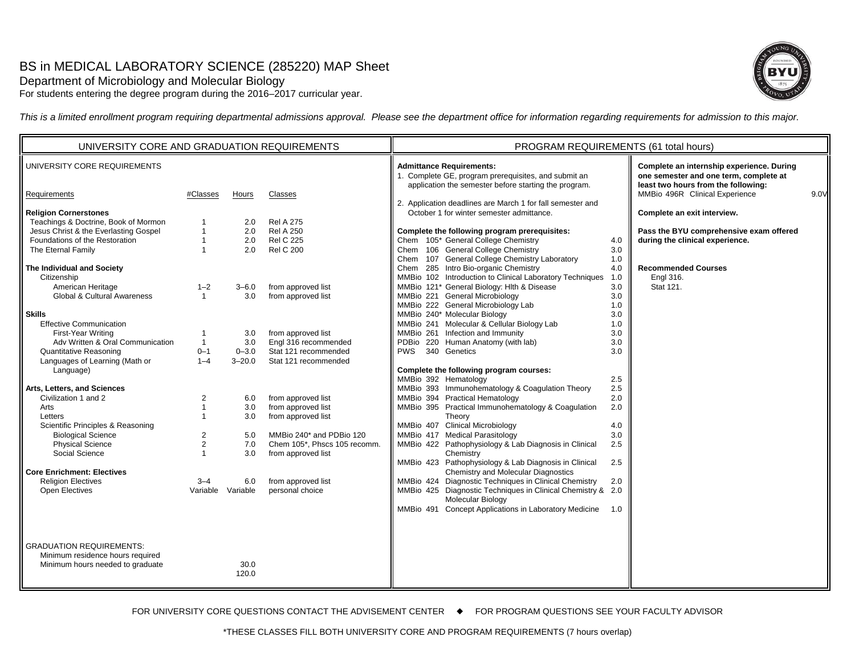# BS in MEDICAL LABORATORY SCIENCE (285220) MAP Sheet

# Department of Microbiology and Molecular Biology

For students entering the degree program during the 2016–2017 curricular year.



*This is a limited enrollment program requiring departmental admissions approval. Please see the department office for information regarding requirements for admission to this major.*

| UNIVERSITY CORE AND GRADUATION REQUIREMENTS                                                                                                                                                                                                                                                                                                                                                                                                                                                                                                                   |                                                                                                                                                        |                                                                                                            |                                                                                                                                                                                                                                                                                          | PROGRAM REQUIREMENTS (61 total hours)                                                                                                                                                                                                                                                                                                                                                                                                                                                                                                                                                                                                                                                                                                                                                                                                                                                                                          |                                                                                                                     |                                                                                                                                                                                                     |      |  |
|---------------------------------------------------------------------------------------------------------------------------------------------------------------------------------------------------------------------------------------------------------------------------------------------------------------------------------------------------------------------------------------------------------------------------------------------------------------------------------------------------------------------------------------------------------------|--------------------------------------------------------------------------------------------------------------------------------------------------------|------------------------------------------------------------------------------------------------------------|------------------------------------------------------------------------------------------------------------------------------------------------------------------------------------------------------------------------------------------------------------------------------------------|--------------------------------------------------------------------------------------------------------------------------------------------------------------------------------------------------------------------------------------------------------------------------------------------------------------------------------------------------------------------------------------------------------------------------------------------------------------------------------------------------------------------------------------------------------------------------------------------------------------------------------------------------------------------------------------------------------------------------------------------------------------------------------------------------------------------------------------------------------------------------------------------------------------------------------|---------------------------------------------------------------------------------------------------------------------|-----------------------------------------------------------------------------------------------------------------------------------------------------------------------------------------------------|------|--|
| UNIVERSITY CORE REQUIREMENTS                                                                                                                                                                                                                                                                                                                                                                                                                                                                                                                                  |                                                                                                                                                        |                                                                                                            |                                                                                                                                                                                                                                                                                          | <b>Admittance Requirements:</b><br>1. Complete GE, program prerequisites, and submit an<br>application the semester before starting the program.                                                                                                                                                                                                                                                                                                                                                                                                                                                                                                                                                                                                                                                                                                                                                                               |                                                                                                                     | Complete an internship experience. During<br>one semester and one term, complete at<br>least two hours from the following:                                                                          |      |  |
|                                                                                                                                                                                                                                                                                                                                                                                                                                                                                                                                                               |                                                                                                                                                        | Hours                                                                                                      | Classes                                                                                                                                                                                                                                                                                  |                                                                                                                                                                                                                                                                                                                                                                                                                                                                                                                                                                                                                                                                                                                                                                                                                                                                                                                                |                                                                                                                     |                                                                                                                                                                                                     |      |  |
| Requirements<br><b>Religion Cornerstones</b><br>Teachings & Doctrine, Book of Mormon<br>Jesus Christ & the Everlasting Gospel<br>Foundations of the Restoration<br>The Eternal Family<br>The Individual and Society<br>Citizenship<br>American Heritage<br>Global & Cultural Awareness<br><b>Skills</b><br><b>Effective Communication</b><br>First-Year Writing<br>Adv Written & Oral Communication<br><b>Quantitative Reasoning</b><br>Languages of Learning (Math or<br>Language)<br>Arts, Letters, and Sciences<br>Civilization 1 and 2<br>Arts<br>Letters | #Classes<br>1<br>1<br>$\overline{1}$<br>$1 - 2$<br>$\mathbf{1}$<br>-1<br>$\overline{1}$<br>$0 - 1$<br>$1 - 4$<br>2<br>$\overline{1}$<br>$\overline{1}$ | 2.0<br>2.0<br>2.0<br>2.0<br>$3 - 6.0$<br>3.0<br>3.0<br>3.0<br>$0 - 3.0$<br>$3 - 20.0$<br>6.0<br>3.0<br>3.0 | <b>Rel A 275</b><br><b>Rel A 250</b><br><b>Rel C 225</b><br><b>Rel C 200</b><br>from approved list<br>from approved list<br>from approved list<br>Engl 316 recommended<br>Stat 121 recommended<br>Stat 121 recommended<br>from approved list<br>from approved list<br>from approved list | 2. Application deadlines are March 1 for fall semester and<br>October 1 for winter semester admittance.<br>Complete the following program prerequisites:<br>Chem 105* General College Chemistry<br>Chem 106 General College Chemistry<br>Chem 107 General College Chemistry Laboratory<br>Chem 285 Intro Bio-organic Chemistry<br>MMBio 102 Introduction to Clinical Laboratory Techniques<br>MMBio 121* General Biology: Hlth & Disease<br>MMBio 221 General Microbiology<br>MMBio 222 General Microbiology Lab<br>MMBio 240* Molecular Biology<br>MMBio 241 Molecular & Cellular Biology Lab<br>MMBio 261 Infection and Immunity<br>PDBio 220 Human Anatomy (with lab)<br>340 Genetics<br><b>PWS</b><br>Complete the following program courses:<br>MMBio 392 Hematology<br>MMBio 393 Immunohematology & Coagulation Theory<br>MMBio 394 Practical Hematology<br>MMBio 395 Practical Immunohematology & Coagulation<br>Theory | 4.0<br>3.0<br>1.0<br>4.0<br>1.0<br>3.0<br>3.0<br>1.0<br>3.0<br>1.0<br>3.0<br>3.0<br>3.0<br>2.5<br>2.5<br>2.0<br>2.0 | MMBio 496R Clinical Experience<br>Complete an exit interview.<br>Pass the BYU comprehensive exam offered<br>during the clinical experience.<br><b>Recommended Courses</b><br>Engl 316.<br>Stat 121. | 9.0V |  |
| Scientific Principles & Reasoning<br><b>Biological Science</b><br>Physical Science<br>Social Science                                                                                                                                                                                                                                                                                                                                                                                                                                                          | 2<br>2                                                                                                                                                 | 5.0<br>7.0<br>3.0                                                                                          | MMBio 240* and PDBio 120<br>Chem 105*, Phscs 105 recomm.<br>from approved list                                                                                                                                                                                                           | MMBio 407 Clinical Microbiology<br>MMBio 417 Medical Parasitology<br>MMBio 422 Pathophysiology & Lab Diagnosis in Clinical<br>Chemistry                                                                                                                                                                                                                                                                                                                                                                                                                                                                                                                                                                                                                                                                                                                                                                                        | 4.0<br>3.0<br>2.5                                                                                                   |                                                                                                                                                                                                     |      |  |
| <b>Core Enrichment: Electives</b><br><b>Religion Electives</b><br><b>Open Electives</b>                                                                                                                                                                                                                                                                                                                                                                                                                                                                       | $3 - 4$                                                                                                                                                | 6.0<br>Variable Variable                                                                                   | from approved list<br>personal choice                                                                                                                                                                                                                                                    | MMBio 423 Pathophysiology & Lab Diagnosis in Clinical<br>Chemistry and Molecular Diagnostics<br>MMBio 424 Diagnostic Techniques in Clinical Chemistry<br>MMBio 425 Diagnostic Techniques in Clinical Chemistry & 2.0<br>Molecular Biology<br>MMBio 491 Concept Applications in Laboratory Medicine 1.0                                                                                                                                                                                                                                                                                                                                                                                                                                                                                                                                                                                                                         | 2.5<br>2.0                                                                                                          |                                                                                                                                                                                                     |      |  |
| <b>GRADUATION REQUIREMENTS:</b><br>Minimum residence hours required<br>Minimum hours needed to graduate                                                                                                                                                                                                                                                                                                                                                                                                                                                       |                                                                                                                                                        | 30.0<br>120.0                                                                                              |                                                                                                                                                                                                                                                                                          |                                                                                                                                                                                                                                                                                                                                                                                                                                                                                                                                                                                                                                                                                                                                                                                                                                                                                                                                |                                                                                                                     |                                                                                                                                                                                                     |      |  |

FOR UNIVERSITY CORE QUESTIONS CONTACT THE ADVISEMENT CENTER ♦ FOR PROGRAM QUESTIONS SEE YOUR FACULTY ADVISOR